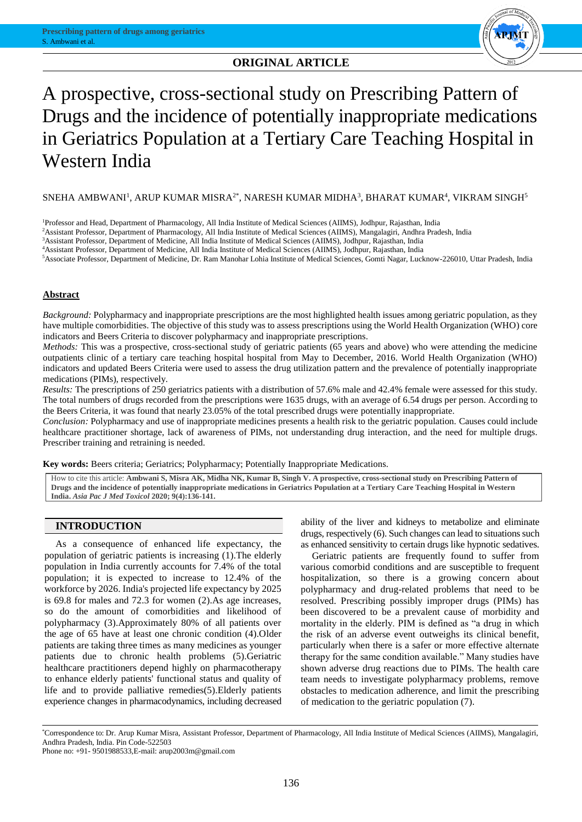# **ORIGINAL ARTICLE ORIGINAL ARTICLE**



# A prospective, cross-sectional study on Prescribing Pattern of Drugs and the incidence of potentially inappropriate medications in Geriatrics Population at a Tertiary Care Teaching Hospital in Western India

 ${\rm SNEHA}$  AMBWANI $^{\rm l}$ , ARUP KUMAR MISRA $^{2*}$ , NARESH KUMAR MIDHA $^3$ , BHARAT KUMAR $^4$ , VIKRAM SINGH $^5$ 

<sup>1</sup>Professor and Head, Department of Pharmacology, All India Institute of Medical Sciences (AIIMS), Jodhpur, Rajasthan, India

<sup>2</sup>Assistant Professor, Department of Pharmacology, All India Institute of Medical Sciences (AIIMS), Mangalagiri, Andhra Pradesh, India

<sup>3</sup>Assistant Professor, Department of Medicine, All India Institute of Medical Sciences (AIIMS), Jodhpur, Rajasthan, India

<sup>4</sup>Assistant Professor, Department of Medicine, All India Institute of Medical Sciences (AIIMS), Jodhpur, Rajasthan, India

<sup>5</sup>Associate Professor, Department of Medicine, Dr. Ram Manohar Lohia Institute of Medical Sciences, Gomti Nagar, Lucknow-226010, Uttar Pradesh, India

# **Abstract**

*Background:* Polypharmacy and inappropriate prescriptions are the most highlighted health issues among geriatric population, as they have multiple comorbidities. The objective of this study was to assess prescriptions using the World Health Organization (WHO) core indicators and Beers Criteria to discover polypharmacy and inappropriate prescriptions.

*Methods:* This was a prospective, cross-sectional study of geriatric patients (65 years and above) who were attending the medicine outpatients clinic of a tertiary care teaching hospital hospital from May to December, 2016. World Health Organization (WHO) indicators and updated Beers Criteria were used to assess the drug utilization pattern and the prevalence of potentially inappropriate medications (PIMs), respectively.

*Results:* The prescriptions of 250 geriatrics patients with a distribution of 57.6% male and 42.4% female were assessed for this study. The total numbers of drugs recorded from the prescriptions were 1635 drugs, with an average of 6.54 drugs per person. According to the Beers Criteria, it was found that nearly 23.05% of the total prescribed drugs were potentially inappropriate.

*Conclusion:* Polypharmacy and use of inappropriate medicines presents a health risk to the geriatric population. Causes could include healthcare practitioner shortage, lack of awareness of PIMs, not understanding drug interaction, and the need for multiple drugs. Prescriber training and retraining is needed.

**Key words:** Beers criteria; Geriatrics; Polypharmacy; Potentially Inappropriate Medications.

How to cite this article: **Ambwani S, Misra AK, Midha NK, Kumar B, Singh V. A prospective, cross-sectional study on Prescribing Pattern of Drugs and the incidence of potentially inappropriate medications in Geriatrics Population at a Tertiary Care Teaching Hospital in Western India.** *Asia Pac J Med Toxicol* **2020; 9(4):136-141.**

# **INTRODUCTION**

As a consequence of enhanced life expectancy, the population of geriatric patients is increasing (1).The elderly population in India currently accounts for 7.4% of the total population; it is expected to increase to 12.4% of the workforce by 2026. India's projected life expectancy by 2025 is 69.8 for males and 72.3 for women (2).As age increases, so do the amount of comorbidities and likelihood of polypharmacy (3).Approximately 80% of all patients over the age of 65 have at least one chronic condition (4).Older patients are taking three times as many medicines as younger patients due to chronic health problems (5).Geriatric healthcare practitioners depend highly on pharmacotherapy to enhance elderly patients' functional status and quality of life and to provide palliative remedies(5).Elderly patients experience changes in pharmacodynamics, including decreased

ability of the liver and kidneys to metabolize and eliminate drugs, respectively (6). Such changes can lead to situations such as enhanced sensitivity to certain drugs like hypnotic sedatives.

Geriatric patients are frequently found to suffer from various comorbid conditions and are susceptible to frequent hospitalization, so there is a growing concern about polypharmacy and drug-related problems that need to be resolved. Prescribing possibly improper drugs (PIMs) has been discovered to be a prevalent cause of morbidity and mortality in the elderly. PIM is defined as "a drug in which the risk of an adverse event outweighs its clinical benefit, particularly when there is a safer or more effective alternate therapy for the same condition available." Many studies have shown adverse drug reactions due to PIMs. The health care team needs to investigate polypharmacy problems, remove obstacles to medication adherence, and limit the prescribing of medication to the geriatric population (7).

\*Correspondence to: Dr. Arup Kumar Misra, Assistant Professor, Department of Pharmacology, All India Institute of Medical Sciences (AIIMS), Mangalagiri, Andhra Pradesh, India. Pin Code-522503

Phone no: +91- 9501988533,E-mail: arup2003m@gmail.com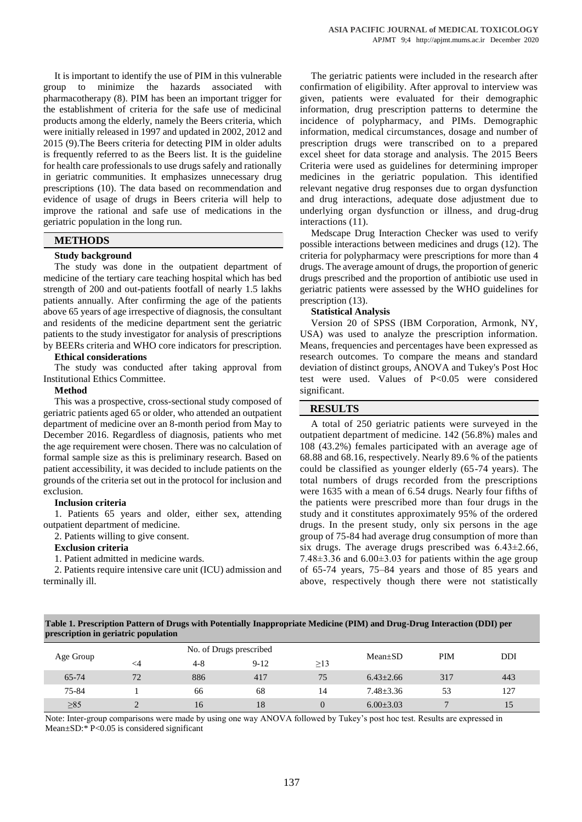It is important to identify the use of PIM in this vulnerable group to minimize the hazards associated with pharmacotherapy (8). PIM has been an important trigger for the establishment of criteria for the safe use of medicinal products among the elderly, namely the Beers criteria, which were initially released in 1997 and updated in 2002, 2012 and 2015 (9).The Beers criteria for detecting PIM in older adults is frequently referred to as the Beers list. It is the guideline for health care professionals to use drugs safely and rationally in geriatric communities. It emphasizes unnecessary drug prescriptions (10). The data based on recommendation and evidence of usage of drugs in Beers criteria will help to improve the rational and safe use of medications in the geriatric population in the long run.

# **METHODS**

#### **Study background**

The study was done in the outpatient department of medicine of the tertiary care teaching hospital which has bed strength of 200 and out-patients footfall of nearly 1.5 lakhs patients annually. After confirming the age of the patients above 65 years of age irrespective of diagnosis, the consultant and residents of the medicine department sent the geriatric patients to the study investigator for analysis of prescriptions by BEERs criteria and WHO core indicators for prescription.

#### **Ethical considerations**

The study was conducted after taking approval from Institutional Ethics Committee.

#### **Method**

This was a prospective, cross-sectional study composed of geriatric patients aged 65 or older, who attended an outpatient department of medicine over an 8-month period from May to December 2016. Regardless of diagnosis, patients who met the age requirement were chosen. There was no calculation of formal sample size as this is preliminary research. Based on patient accessibility, it was decided to include patients on the grounds of the criteria set out in the protocol for inclusion and exclusion.

#### **Inclusion criteria**

1. Patients 65 years and older, either sex, attending outpatient department of medicine.

2. Patients willing to give consent.

# **Exclusion criteria**

1. Patient admitted in medicine wards.

2. Patients require intensive care unit (ICU) admission and terminally ill.

The geriatric patients were included in the research after confirmation of eligibility. After approval to interview was given, patients were evaluated for their demographic information, drug prescription patterns to determine the incidence of polypharmacy, and PIMs. Demographic information, medical circumstances, dosage and number of prescription drugs were transcribed on to a prepared excel sheet for data storage and analysis. The 2015 Beers Criteria were used as guidelines for determining improper medicines in the geriatric population. This identified relevant negative drug responses due to organ dysfunction and drug interactions, adequate dose adjustment due to underlying organ dysfunction or illness, and drug-drug interactions (11).

Medscape Drug Interaction Checker was used to verify possible interactions between medicines and drugs (12). The criteria for polypharmacy were prescriptions for more than 4 drugs. The average amount of drugs, the proportion of generic drugs prescribed and the proportion of antibiotic use used in geriatric patients were assessed by the WHO guidelines for prescription (13).

#### **Statistical Analysis**

Version 20 of SPSS (IBM Corporation, Armonk, NY, USA) was used to analyze the prescription information. Means, frequencies and percentages have been expressed as research outcomes. To compare the means and standard deviation of distinct groups, ANOVA and Tukey's Post Hoc test were used. Values of P<0.05 were considered significant.

#### **RESULTS**

A total of 250 geriatric patients were surveyed in the outpatient department of medicine. 142 (56.8%) males and 108 (43.2%) females participated with an average age of 68.88 and 68.16, respectively. Nearly 89.6 % of the patients could be classified as younger elderly (65-74 years). The total numbers of drugs recorded from the prescriptions were 1635 with a mean of 6.54 drugs. Nearly four fifths of the patients were prescribed more than four drugs in the study and it constitutes approximately 95% of the ordered drugs. In the present study, only six persons in the age group of 75-84 had average drug consumption of more than six drugs. The average drugs prescribed was  $6.43 \pm 2.66$ , 7.48 $\pm$ 3.36 and 6.00 $\pm$ 3.03 for patients within the age group of 65-74 years, 75–84 years and those of 85 years and above, respectively though there were not statistically

**Table 1. Prescription Pattern of Drugs with Potentially Inappropriate Medicine (PIM) and Drug-Drug Interaction (DDI) per prescription in geriatric population**

| Age Group | No. of Drugs prescribed |         |        |           | $Mean \pm SD$   | PIM | <b>DDI</b> |
|-----------|-------------------------|---------|--------|-----------|-----------------|-----|------------|
|           | <4                      | $4 - 8$ | $9-12$ | $\geq$ 13 |                 |     |            |
| 65-74     | 72                      | 886     | 417    | 75        | $6.43 \pm 2.66$ | 317 | 443        |
| 75-84     |                         | 66      | 68     | 14        | $7.48 \pm 3.36$ | 53  | 127        |
| $\geq 85$ |                         | 16      | 18     |           | $6.00 \pm 3.03$ |     | 15         |

Note: Inter-group comparisons were made by using one way ANOVA followed by Tukey's post hoc test. Results are expressed in Mean±SD:\* P<0.05 is considered significant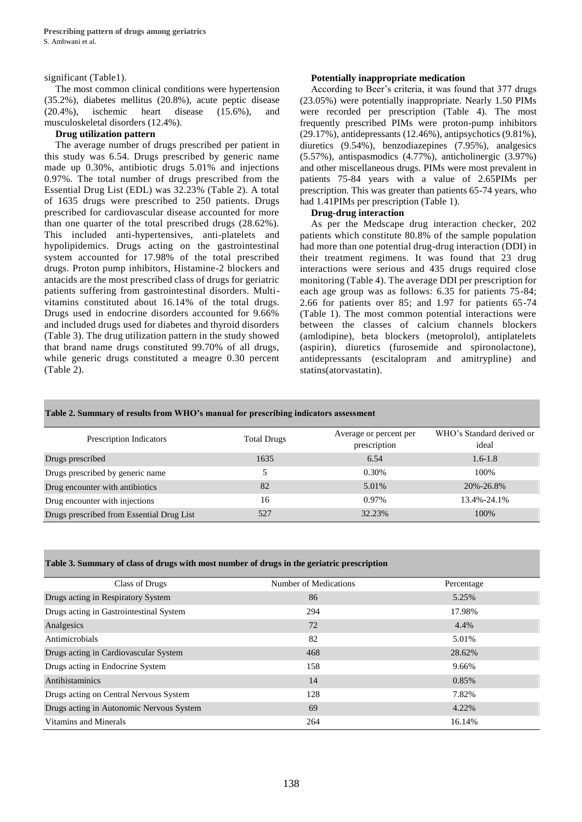# significant (Table1).

The most common clinical conditions were hypertension (35.2%), diabetes mellitus (20.8%), acute peptic disease (20.4%), ischemic heart disease (15.6%), and musculoskeletal disorders (12.4%).

# **Drug utilization pattern**

The average number of drugs prescribed per patient in this study was 6.54. Drugs prescribed by generic name made up 0.30%, antibiotic drugs 5.01% and injections 0.97%. The total number of drugs prescribed from the Essential Drug List (EDL) was 32.23% (Table 2). A total of 1635 drugs were prescribed to 250 patients. Drugs prescribed for cardiovascular disease accounted for more than one quarter of the total prescribed drugs (28.62%). This included anti-hypertensives, anti-platelets and hypolipidemics. Drugs acting on the gastrointestinal system accounted for 17.98% of the total prescribed drugs. Proton pump inhibitors, Histamine-2 blockers and antacids are the most prescribed class of drugs for geriatric patients suffering from gastrointestinal disorders. Multivitamins constituted about 16.14% of the total drugs. Drugs used in endocrine disorders accounted for 9.66% and included drugs used for diabetes and thyroid disorders (Table 3). The drug utilization pattern in the study showed that brand name drugs constituted 99.70% of all drugs, while generic drugs constituted a meagre 0.30 percent (Table 2).

#### **Potentially inappropriate medication**

According to Beer's criteria, it was found that 377 drugs (23.05%) were potentially inappropriate. Nearly 1.50 PIMs were recorded per prescription (Table 4). The most frequently prescribed PIMs were proton-pump inhibitors (29.17%), antidepressants (12.46%), antipsychotics (9.81%), diuretics (9.54%), benzodiazepines (7.95%), analgesics (5.57%), antispasmodics (4.77%), anticholinergic (3.97%) and other miscellaneous drugs. PIMs were most prevalent in patients 75-84 years with a value of 2.65PIMs per prescription. This was greater than patients 65-74 years, who had 1.41PIMs per prescription (Table 1).

# **Drug-drug interaction**

As per the Medscape drug interaction checker, 202 patients which constitute 80.8% of the sample population had more than one potential drug-drug interaction (DDI) in their treatment regimens. It was found that 23 drug interactions were serious and 435 drugs required close monitoring (Table 4). The average DDI per prescription for each age group was as follows: 6.35 for patients 75-84; 2.66 for patients over 85; and 1.97 for patients 65-74 (Table 1). The most common potential interactions were between the classes of calcium channels blockers (amlodipine), beta blockers (metoprolol), antiplatelets (aspirin), diuretics (furosemide and spironolactone), antidepressants (escitalopram and amitrypline) and statins(atorvastatin).

| Table 2. Summary of results from WHO's manual for prescribing indicators assessment |                    |                                        |                                    |  |  |  |  |  |
|-------------------------------------------------------------------------------------|--------------------|----------------------------------------|------------------------------------|--|--|--|--|--|
| Prescription Indicators                                                             | <b>Total Drugs</b> | Average or percent per<br>prescription | WHO's Standard derived or<br>ideal |  |  |  |  |  |
| Drugs prescribed                                                                    | 1635               | 6.54                                   | $1.6 - 1.8$                        |  |  |  |  |  |
| Drugs prescribed by generic name                                                    |                    | 0.30%                                  | 100\%                              |  |  |  |  |  |
| Drug encounter with antibiotics                                                     | 82                 | 5.01%                                  | 20%-26.8%                          |  |  |  |  |  |
| Drug encounter with injections                                                      | 16                 | $0.97\%$                               | 13.4%-24.1%                        |  |  |  |  |  |
| Drugs prescribed from Essential Drug List                                           | 527                | 32.23%                                 | 100%                               |  |  |  |  |  |

**Table 3. Summary of class of drugs with most number of drugs in the geriatric prescription**

| Class of Drugs                           | Number of Medications | Percentage |
|------------------------------------------|-----------------------|------------|
| Drugs acting in Respiratory System       | 86                    | 5.25%      |
| Drugs acting in Gastrointestinal System  | 294                   | 17.98%     |
| Analgesics                               | 72                    | 4.4%       |
| Antimicrobials                           | 82                    | 5.01%      |
| Drugs acting in Cardiovascular System    | 468                   | 28.62%     |
| Drugs acting in Endocrine System         | 158                   | 9.66%      |
| Antihistaminics                          | 14                    | 0.85%      |
| Drugs acting on Central Nervous System   | 128                   | 7.82%      |
| Drugs acting in Autonomic Nervous System | 69                    | 4.22%      |
| Vitamins and Minerals                    | 264                   | 16.14%     |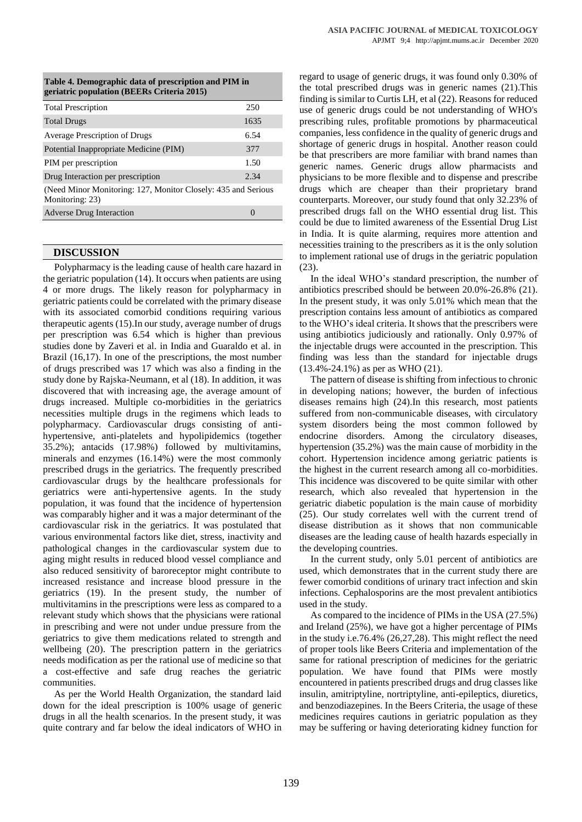| geriati it population (DEERS Criteria 2013)                                      |      |  |  |  |
|----------------------------------------------------------------------------------|------|--|--|--|
| <b>Total Prescription</b>                                                        | 250  |  |  |  |
| <b>Total Drugs</b>                                                               | 1635 |  |  |  |
| <b>Average Prescription of Drugs</b>                                             | 6.54 |  |  |  |
| Potential Inappropriate Medicine (PIM)                                           | 377  |  |  |  |
| PIM per prescription                                                             | 1.50 |  |  |  |
| Drug Interaction per prescription                                                | 2.34 |  |  |  |
| (Need Minor Monitoring: 127, Monitor Closely: 435 and Serious<br>Monitoring: 23) |      |  |  |  |
| <b>Adverse Drug Interaction</b>                                                  |      |  |  |  |

## **Table 4. Demographic data of prescription and PIM in geriatric population (BEERs Criteria 2015)**

### **DISCUSSION**

Polypharmacy is the leading cause of health care hazard in the geriatric population (14). It occurs when patients are using 4 or more drugs. The likely reason for polypharmacy in geriatric patients could be correlated with the primary disease with its associated comorbid conditions requiring various therapeutic agents (15).In our study, average number of drugs per prescription was 6.54 which is higher than previous studies done by Zaveri et al. in India and Guaraldo et al. in Brazil (16,17). In one of the prescriptions, the most number of drugs prescribed was 17 which was also a finding in the study done by Rajska-Neumann, et al (18). In addition, it was discovered that with increasing age, the average amount of drugs increased. Multiple co-morbidities in the geriatrics necessities multiple drugs in the regimens which leads to polypharmacy. Cardiovascular drugs consisting of antihypertensive, anti-platelets and hypolipidemics (together 35.2%); antacids (17.98%) followed by multivitamins, minerals and enzymes (16.14%) were the most commonly prescribed drugs in the geriatrics. The frequently prescribed cardiovascular drugs by the healthcare professionals for geriatrics were anti-hypertensive agents. In the study population, it was found that the incidence of hypertension was comparably higher and it was a major determinant of the cardiovascular risk in the geriatrics. It was postulated that various environmental factors like diet, stress, inactivity and pathological changes in the cardiovascular system due to aging might results in reduced blood vessel compliance and also reduced sensitivity of baroreceptor might contribute to increased resistance and increase blood pressure in the geriatrics (19). In the present study, the number of multivitamins in the prescriptions were less as compared to a relevant study which shows that the physicians were rational in prescribing and were not under undue pressure from the geriatrics to give them medications related to strength and wellbeing (20). The prescription pattern in the geriatrics needs modification as per the rational use of medicine so that a cost-effective and safe drug reaches the geriatric communities.

As per the World Health Organization, the standard laid down for the ideal prescription is 100% usage of generic drugs in all the health scenarios. In the present study, it was quite contrary and far below the ideal indicators of WHO in

regard to usage of generic drugs, it was found only 0.30% of the total prescribed drugs was in generic names (21).This finding is similar to Curtis LH, et al (22). Reasons for reduced use of generic drugs could be not understanding of WHO's prescribing rules, profitable promotions by pharmaceutical companies, less confidence in the quality of generic drugs and shortage of generic drugs in hospital. Another reason could be that prescribers are more familiar with brand names than generic names. Generic drugs allow pharmacists and physicians to be more flexible and to dispense and prescribe drugs which are cheaper than their proprietary brand counterparts. Moreover, our study found that only 32.23% of prescribed drugs fall on the WHO essential drug list. This could be due to limited awareness of the Essential Drug List in India. It is quite alarming, requires more attention and necessities training to the prescribers as it is the only solution to implement rational use of drugs in the geriatric population (23).

In the ideal WHO's standard prescription, the number of antibiotics prescribed should be between 20.0%-26.8% (21). In the present study, it was only 5.01% which mean that the prescription contains less amount of antibiotics as compared to the WHO's ideal criteria. It shows that the prescribers were using antibiotics judiciously and rationally. Only 0.97% of the injectable drugs were accounted in the prescription. This finding was less than the standard for injectable drugs (13.4%-24.1%) as per as WHO (21).

The pattern of disease is shifting from infectious to chronic in developing nations; however, the burden of infectious diseases remains high (24).In this research, most patients suffered from non-communicable diseases, with circulatory system disorders being the most common followed by endocrine disorders. Among the circulatory diseases, hypertension (35.2%) was the main cause of morbidity in the cohort. Hypertension incidence among geriatric patients is the highest in the current research among all co-morbidities. This incidence was discovered to be quite similar with other research, which also revealed that hypertension in the geriatric diabetic population is the main cause of morbidity (25). Our study correlates well with the current trend of disease distribution as it shows that non communicable diseases are the leading cause of health hazards especially in the developing countries.

In the current study, only 5.01 percent of antibiotics are used, which demonstrates that in the current study there are fewer comorbid conditions of urinary tract infection and skin infections. Cephalosporins are the most prevalent antibiotics used in the study.

As compared to the incidence of PIMs in the USA (27.5%) and Ireland (25%), we have got a higher percentage of PIMs in the study i.e.76.4% (26,27,28). This might reflect the need of proper tools like Beers Criteria and implementation of the same for rational prescription of medicines for the geriatric population. We have found that PIMs were mostly encountered in patients prescribed drugs and drug classes like insulin, amitriptyline, nortriptyline, anti-epileptics, diuretics, and benzodiazepines. In the Beers Criteria, the usage of these medicines requires cautions in geriatric population as they may be suffering or having deteriorating kidney function for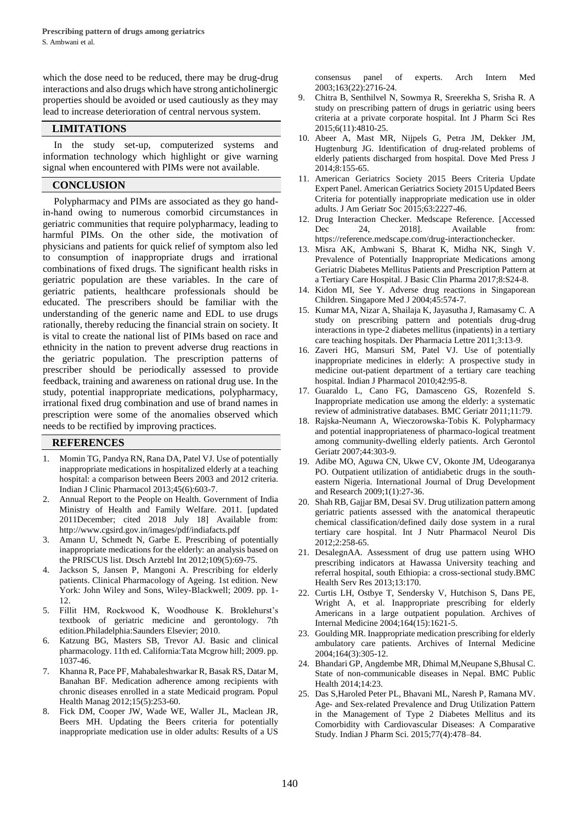which the dose need to be reduced, there may be drug-drug interactions and also drugs which have strong anticholinergic properties should be avoided or used cautiously as they may lead to increase deterioration of central nervous system.

# **LIMITATIONS**

In the study set-up, computerized systems and information technology which highlight or give warning signal when encountered with PIMs were not available.

# **CONCLUSION**

Polypharmacy and PIMs are associated as they go handin-hand owing to numerous comorbid circumstances in geriatric communities that require polypharmacy, leading to harmful PIMs. On the other side, the motivation of physicians and patients for quick relief of symptom also led to consumption of inappropriate drugs and irrational combinations of fixed drugs. The significant health risks in geriatric population are these variables. In the care of geriatric patients, healthcare professionals should be educated. The prescribers should be familiar with the understanding of the generic name and EDL to use drugs rationally, thereby reducing the financial strain on society. It is vital to create the national list of PIMs based on race and ethnicity in the nation to prevent adverse drug reactions in the geriatric population. The prescription patterns of prescriber should be periodically assessed to provide feedback, training and awareness on rational drug use. In the study, potential inappropriate medications, polypharmacy, irrational fixed drug combination and use of brand names in prescription were some of the anomalies observed which needs to be rectified by improving practices.

# **REFERENCES**

- 1. Momin TG, Pandya RN, Rana DA, Patel VJ. Use of potentially inappropriate medications in hospitalized elderly at a teaching hospital: a comparison between Beers 2003 and 2012 criteria. Indian J Clinic Pharmacol 2013;45(6):603-7.
- 2. Annual Report to the People on Health. Government of India Ministry of Health and Family Welfare. 2011. [updated 2011December; cited 2018 July 18] Available from: http://www.cgsird.gov.in/images/pdf/indiafacts.pdf
- 3. Amann U, Schmedt N, Garbe E. Prescribing of potentially inappropriate medications for the elderly: an analysis based on the PRISCUS list. Dtsch Arztebl Int 2012;109(5):69-75.
- 4. Jackson S, Jansen P, Mangoni A. Prescribing for elderly patients. Clinical Pharmacology of Ageing. 1st edition. New York: John Wiley and Sons, Wiley-Blackwell; 2009. pp. 1- 12.
- 5. Fillit HM, Rockwood K, Woodhouse K. Broklehurst's textbook of geriatric medicine and gerontology. 7th edition.Philadelphia:Saunders Elsevier; 2010.
- 6. Katzung BG, Masters SB, Trevor AJ. Basic and clinical pharmacology. 11th ed. California:Tata Mcgrow hill; 2009. pp. 1037-46.
- 7. Khanna R, Pace PF, Mahabaleshwarkar R, Basak RS, Datar M, Banahan BF. Medication adherence among recipients with chronic diseases enrolled in a state Medicaid program. Popul Health Manag 2012;15(5):253-60.
- 8. Fick DM, Cooper JW, Wade WE, Waller JL, Maclean JR, Beers MH. Updating the Beers criteria for potentially inappropriate medication use in older adults: Results of a US

consensus panel of experts. Arch Intern Med 2003;163(22):2716-24.

- 9. Chitra B, Senthilvel N, Sowmya R, Sreerekha S, Srisha R. A study on prescribing pattern of drugs in geriatric using beers criteria at a private corporate hospital. Int J Pharm Sci Res 2015;6(11):4810-25.
- 10. Abeer A, Mast MR, Nijpels G, Petra JM, Dekker JM, Hugtenburg JG. Identification of drug-related problems of elderly patients discharged from hospital. Dove Med Press J 2014;8:155-65.
- 11. American Geriatrics Society 2015 Beers Criteria Update Expert Panel. American Geriatrics Society 2015 Updated Beers Criteria for potentially inappropriate medication use in older adults. J Am Geriatr Soc 2015;63:2227-46.
- 12. Drug Interaction Checker. Medscape Reference. [Accessed Dec 24, 2018]. Available from: https://reference.medscape.com/drug-interactionchecker.
- 13. Misra AK, Ambwani S, Bharat K, Midha NK, Singh V. Prevalence of Potentially Inappropriate Medications among Geriatric Diabetes Mellitus Patients and Prescription Pattern at a Tertiary Care Hospital. J Basic Clin Pharma 2017;8:S24-8.
- 14. Kidon MI, See Y. Adverse drug reactions in Singaporean Children. Singapore Med J 2004;45:574-7.
- 15. Kumar MA, Nizar A, Shailaja K, Jayasutha J, Ramasamy C. A study on prescribing pattern and potentials drug-drug interactions in type-2 diabetes mellitus (inpatients) in a tertiary care teaching hospitals. Der Pharmacia Lettre 2011;3:13-9.
- 16. Zaveri HG, Mansuri SM, Patel VJ. Use of potentially inappropriate medicines in elderly: A prospective study in medicine out-patient department of a tertiary care teaching hospital. Indian J Pharmacol 2010;42:95-8.
- 17. Guaraldo L, Cano FG, Damasceno GS, Rozenfeld S. Inappropriate medication use among the elderly: a systematic review of administrative databases. BMC Geriatr 2011;11:79.
- 18. Rajska-Neumann A, Wieczorowska-Tobis K. Polypharmacy and potential inappropriateness of pharmaco-logical treatment among community-dwelling elderly patients. Arch Gerontol Geriatr 2007;44:303-9.
- 19. Adibe MO, Aguwa CN, Ukwe CV, Okonte JM, Udeogaranya PO. Outpatient utilization of antidiabetic drugs in the southeastern Nigeria. International Journal of Drug Development and Research 2009;1(1):27-36.
- 20. Shah RB, Gajjar BM, Desai SV. Drug utilization pattern among geriatric patients assessed with the anatomical therapeutic chemical classification/defined daily dose system in a rural tertiary care hospital. Int J Nutr Pharmacol Neurol Dis 2012;2:258-65.
- 21. [DesalegnA](https://www.ncbi.nlm.nih.gov/pubmed/?term=Desalegn%20AA%5BAuthor%5D&cauthor=true&cauthor_uid=23647871)A. Assessment of drug use pattern using WHO prescribing indicators at Hawassa University teaching and referral hospital, south Ethiopia: a cross-sectional stud[y.BMC](https://www.ncbi.nlm.nih.gov/pmc/articles/PMC3651314/)  [Health Serv Res](https://www.ncbi.nlm.nih.gov/pmc/articles/PMC3651314/) 2013;13:170.
- 22. Curtis LH, Ostbye T, Sendersky V, Hutchison S, Dans PE, Wright A, et al. Inappropriate prescribing for elderly Americans in a large outpatient population. Archives of Internal Medicine 2004;164(15):1621-5.
- 23. Goulding MR. Inappropriate medication prescribing for elderly ambulatory care patients. Archives of Internal Medicine 2004;164(3):305-12.
- 24. Bhandari GP, Angdembe MR, Dhimal M,Neupane S,Bhusal C. State of non-communicable diseases in Nepal. BMC Public Health 2014;14:23.
- 25. [Das](https://www.ncbi.nlm.nih.gov/pubmed/?term=Das%20S%5BAuthor%5D&cauthor=true&cauthor_uid=26664065) [S,Haroled Peter](https://www.ncbi.nlm.nih.gov/pubmed/?term=Haroled%20Peter%20PL%5BAuthor%5D&cauthor=true&cauthor_uid=26664065) PL, [Bhavani](https://www.ncbi.nlm.nih.gov/pubmed/?term=Bhavani%20ML%5BAuthor%5D&cauthor=true&cauthor_uid=26664065) ML, [Naresh](https://www.ncbi.nlm.nih.gov/pubmed/?term=Naresh%20P%5BAuthor%5D&cauthor=true&cauthor_uid=26664065) P, [Ramana](https://www.ncbi.nlm.nih.gov/pubmed/?term=Ramana%20MV%5BAuthor%5D&cauthor=true&cauthor_uid=26664065) MV. Age- and Sex-related Prevalence and Drug Utilization Pattern in the Management of Type 2 Diabetes Mellitus and its Comorbidity with Cardiovascular Diseases: A Comparative Study. Indian J Pharm Sci. 2015;77(4):478–84.